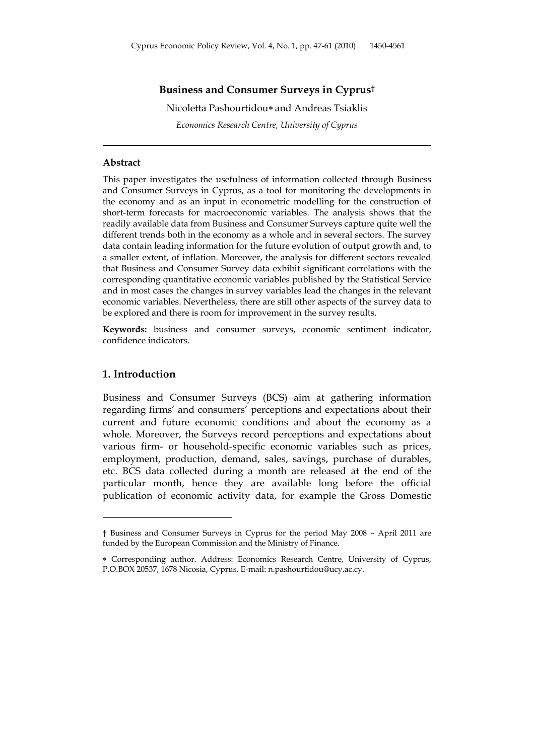## **Business and Consumer Surveys in Cyprus†**

Nicoletta Pashourtidou∗ and Andreas Tsiaklis *Economics Research Centre, University of Cyprus* 

## **Abstract**

This paper investigates the usefulness of information collected through Business and Consumer Surveys in Cyprus, as a tool for monitoring the developments in the economy and as an input in econometric modelling for the construction of short-term forecasts for macroeconomic variables. The analysis shows that the readily available data from Business and Consumer Surveys capture quite well the different trends both in the economy as a whole and in several sectors. The survey data contain leading information for the future evolution of output growth and, to a smaller extent, of inflation. Moreover, the analysis for different sectors revealed that Business and Consumer Survey data exhibit significant correlations with the corresponding quantitative economic variables published by the Statistical Service and in most cases the changes in survey variables lead the changes in the relevant economic variables. Nevertheless, there are still other aspects of the survey data to be explored and there is room for improvement in the survey results.

**Keywords:** business and consumer surveys, economic sentiment indicator, confidence indicators.

#### **1. Introduction**

 $\overline{a}$ 

Business and Consumer Surveys (BCS) aim at gathering information regarding firms' and consumers' perceptions and expectations about their current and future economic conditions and about the economy as a whole. Moreover, the Surveys record perceptions and expectations about various firm- or household-specific economic variables such as prices, employment, production, demand, sales, savings, purchase of durables, etc. BCS data collected during a month are released at the end of the particular month, hence they are available long before the official publication of economic activity data, for example the Gross Domestic

<sup>†</sup> Business and Consumer Surveys in Cyprus for the period May 2008 – April 2011 are funded by the European Commission and the Ministry of Finance.

<sup>∗</sup> Corresponding author. Address: Economics Research Centre, University of Cyprus, P.O.BOX 20537, 1678 Nicosia, Cyprus. E-mail: n.pashourtidou@ucy.ac.cy.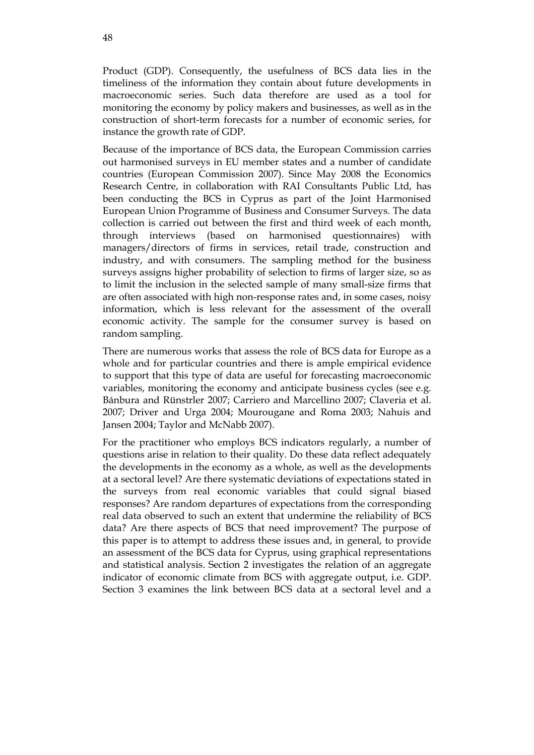Product (GDP). Consequently, the usefulness of BCS data lies in the timeliness of the information they contain about future developments in macroeconomic series. Such data therefore are used as a tool for monitoring the economy by policy makers and businesses, as well as in the construction of short-term forecasts for a number of economic series, for instance the growth rate of GDP.

Because of the importance of BCS data, the European Commission carries out harmonised surveys in EU member states and a number of candidate countries (European Commission 2007). Since May 2008 the Economics Research Centre, in collaboration with RAI Consultants Public Ltd, has been conducting the BCS in Cyprus as part of the Joint Harmonised European Union Programme of Business and Consumer Surveys. The data collection is carried out between the first and third week of each month, through interviews (based on harmonised questionnaires) with managers/directors of firms in services, retail trade, construction and industry, and with consumers. The sampling method for the business surveys assigns higher probability of selection to firms of larger size, so as to limit the inclusion in the selected sample of many small-size firms that are often associated with high non-response rates and, in some cases, noisy information, which is less relevant for the assessment of the overall economic activity. The sample for the consumer survey is based on random sampling.

There are numerous works that assess the role of BCS data for Europe as a whole and for particular countries and there is ample empirical evidence to support that this type of data are useful for forecasting macroeconomic variables, monitoring the economy and anticipate business cycles (see e.g. Bánbura and Rünstrler 2007; Carriero and Marcellino 2007; Claveria et al. 2007; Driver and Urga 2004; Mourougane and Roma 2003; Nahuis and Jansen 2004; Taylor and McNabb 2007).

For the practitioner who employs BCS indicators regularly, a number of questions arise in relation to their quality. Do these data reflect adequately the developments in the economy as a whole, as well as the developments at a sectoral level? Are there systematic deviations of expectations stated in the surveys from real economic variables that could signal biased responses? Are random departures of expectations from the corresponding real data observed to such an extent that undermine the reliability of BCS data? Are there aspects of BCS that need improvement? The purpose of this paper is to attempt to address these issues and, in general, to provide an assessment of the BCS data for Cyprus, using graphical representations and statistical analysis. Section 2 investigates the relation of an aggregate indicator of economic climate from BCS with aggregate output, i.e. GDP. Section 3 examines the link between BCS data at a sectoral level and a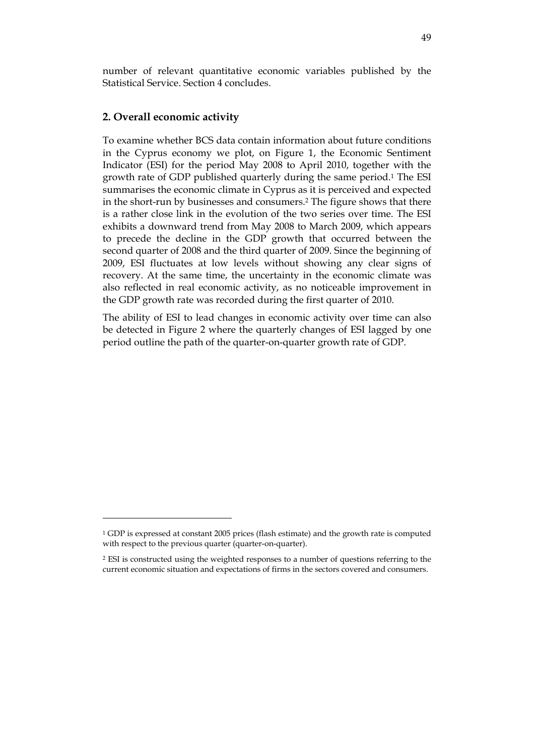number of relevant quantitative economic variables published by the Statistical Service. Section 4 concludes.

## **2. Overall economic activity**

 $\overline{a}$ 

To examine whether BCS data contain information about future conditions in the Cyprus economy we plot, on Figure 1, the Economic Sentiment Indicator (ESI) for the period May 2008 to April 2010, together with the growth rate of GDP published quarterly during the same period.1 The ESI summarises the economic climate in Cyprus as it is perceived and expected in the short-run by businesses and consumers.2 The figure shows that there is a rather close link in the evolution of the two series over time. The ESI exhibits a downward trend from May 2008 to March 2009, which appears to precede the decline in the GDP growth that occurred between the second quarter of 2008 and the third quarter of 2009. Since the beginning of 2009, ESI fluctuates at low levels without showing any clear signs of recovery. At the same time, the uncertainty in the economic climate was also reflected in real economic activity, as no noticeable improvement in the GDP growth rate was recorded during the first quarter of 2010.

The ability of ESI to lead changes in economic activity over time can also be detected in Figure 2 where the quarterly changes of ESI lagged by one period outline the path of the quarter-on-quarter growth rate of GDP.

<sup>1</sup> GDP is expressed at constant 2005 prices (flash estimate) and the growth rate is computed with respect to the previous quarter (quarter-on-quarter).

<sup>2</sup> ESI is constructed using the weighted responses to a number of questions referring to the current economic situation and expectations of firms in the sectors covered and consumers.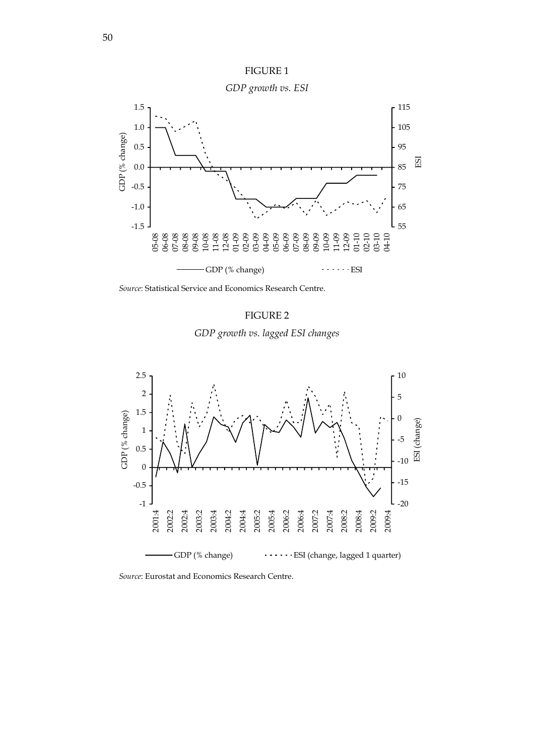

FIGURE 1

*Source*: Statistical Service and Economics Research Centre.





*Source*: Eurostat and Economics Research Centre.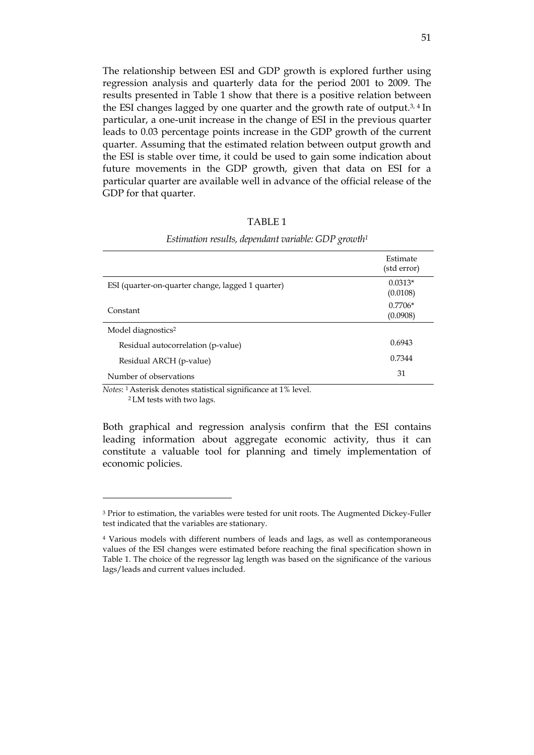The relationship between ESI and GDP growth is explored further using regression analysis and quarterly data for the period 2001 to 2009. The results presented in Table 1 show that there is a positive relation between the ESI changes lagged by one quarter and the growth rate of output.3, 4 In particular, a one-unit increase in the change of ESI in the previous quarter leads to 0.03 percentage points increase in the GDP growth of the current quarter. Assuming that the estimated relation between output growth and the ESI is stable over time, it could be used to gain some indication about future movements in the GDP growth, given that data on ESI for a particular quarter are available well in advance of the official release of the GDP for that quarter.

## TABLE 1

|                                                                                                                                                                                                                                                                                | Estimate<br>(std error) |
|--------------------------------------------------------------------------------------------------------------------------------------------------------------------------------------------------------------------------------------------------------------------------------|-------------------------|
| ESI (quarter-on-quarter change, lagged 1 quarter)                                                                                                                                                                                                                              | $0.0313*$<br>(0.0108)   |
| Constant                                                                                                                                                                                                                                                                       | $0.7706*$<br>(0.0908)   |
| Model diagnostics <sup>2</sup>                                                                                                                                                                                                                                                 |                         |
| Residual autocorrelation (p-value)                                                                                                                                                                                                                                             | 0.6943                  |
| Residual ARCH (p-value)                                                                                                                                                                                                                                                        | 0.7344                  |
| Number of observations                                                                                                                                                                                                                                                         | 31                      |
| $\mathbf{v}$ , and a set of the set of the set of the set of the set of the set of the set of the set of the set of the set of the set of the set of the set of the set of the set of the set of the set of the set of the set of<br>$\sim$ $\sim$ $\sim$ $\sim$ $\sim$ $\sim$ |                         |

#### *Estimation results, dependant variable: GDP growth1*

*Notes*: 1 Asterisk denotes statistical significance at 1% level.

2 LM tests with two lags.

 $\overline{a}$ 

Both graphical and regression analysis confirm that the ESI contains leading information about aggregate economic activity, thus it can constitute a valuable tool for planning and timely implementation of economic policies.

<sup>3</sup> Prior to estimation, the variables were tested for unit roots. The Augmented Dickey-Fuller test indicated that the variables are stationary.

<sup>4</sup> Various models with different numbers of leads and lags, as well as contemporaneous values of the ESI changes were estimated before reaching the final specification shown in Table 1. The choice of the regressor lag length was based on the significance of the various lags/leads and current values included.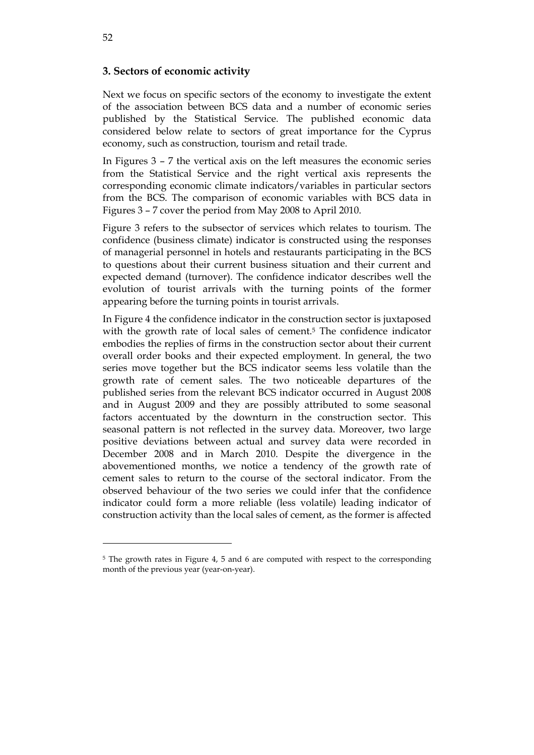## **3. Sectors of economic activity**

Next we focus on specific sectors of the economy to investigate the extent of the association between BCS data and a number of economic series published by the Statistical Service. The published economic data considered below relate to sectors of great importance for the Cyprus economy, such as construction, tourism and retail trade.

In Figures 3 – 7 the vertical axis on the left measures the economic series from the Statistical Service and the right vertical axis represents the corresponding economic climate indicators/variables in particular sectors from the BCS. The comparison of economic variables with BCS data in Figures 3 – 7 cover the period from May 2008 to April 2010.

Figure 3 refers to the subsector of services which relates to tourism. The confidence (business climate) indicator is constructed using the responses of managerial personnel in hotels and restaurants participating in the BCS to questions about their current business situation and their current and expected demand (turnover). The confidence indicator describes well the evolution of tourist arrivals with the turning points of the former appearing before the turning points in tourist arrivals.

In Figure 4 the confidence indicator in the construction sector is juxtaposed with the growth rate of local sales of cement.5 The confidence indicator embodies the replies of firms in the construction sector about their current overall order books and their expected employment. In general, the two series move together but the BCS indicator seems less volatile than the growth rate of cement sales. The two noticeable departures of the published series from the relevant BCS indicator occurred in August 2008 and in August 2009 and they are possibly attributed to some seasonal factors accentuated by the downturn in the construction sector. This seasonal pattern is not reflected in the survey data. Moreover, two large positive deviations between actual and survey data were recorded in December 2008 and in March 2010. Despite the divergence in the abovementioned months, we notice a tendency of the growth rate of cement sales to return to the course of the sectoral indicator. From the observed behaviour of the two series we could infer that the confidence indicator could form a more reliable (less volatile) leading indicator of construction activity than the local sales of cement, as the former is affected

 $\overline{a}$ 

<sup>5</sup> The growth rates in Figure 4, 5 and 6 are computed with respect to the corresponding month of the previous year (year-on-year).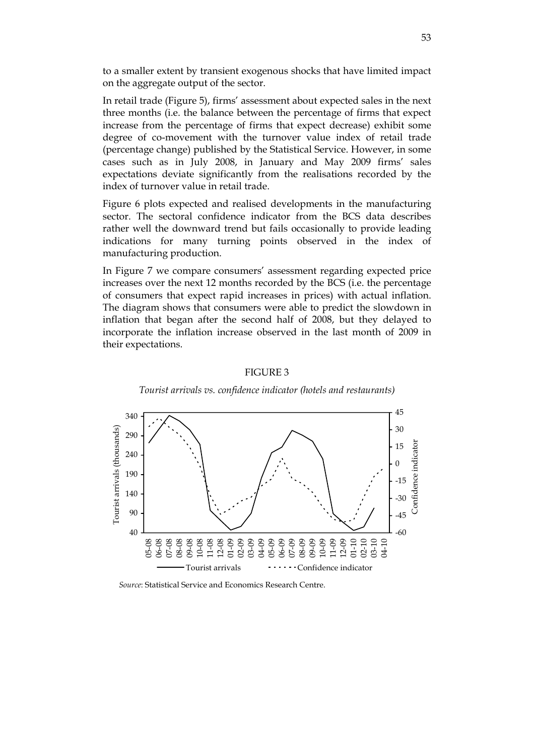to a smaller extent by transient exogenous shocks that have limited impact on the aggregate output of the sector.

In retail trade (Figure 5), firms' assessment about expected sales in the next three months (i.e. the balance between the percentage of firms that expect increase from the percentage of firms that expect decrease) exhibit some degree of co-movement with the turnover value index of retail trade (percentage change) published by the Statistical Service. However, in some cases such as in July 2008, in January and May 2009 firms' sales expectations deviate significantly from the realisations recorded by the index of turnover value in retail trade.

Figure 6 plots expected and realised developments in the manufacturing sector. The sectoral confidence indicator from the BCS data describes rather well the downward trend but fails occasionally to provide leading indications for many turning points observed in the index of manufacturing production.

In Figure 7 we compare consumers' assessment regarding expected price increases over the next 12 months recorded by the BCS (i.e. the percentage of consumers that expect rapid increases in prices) with actual inflation. The diagram shows that consumers were able to predict the slowdown in inflation that began after the second half of 2008, but they delayed to incorporate the inflation increase observed in the last month of 2009 in their expectations.

### FIGURE 3

*Tourist arrivals vs. confidence indicator (hotels and restaurants)* 



*Source*: Statistical Service and Economics Research Centre.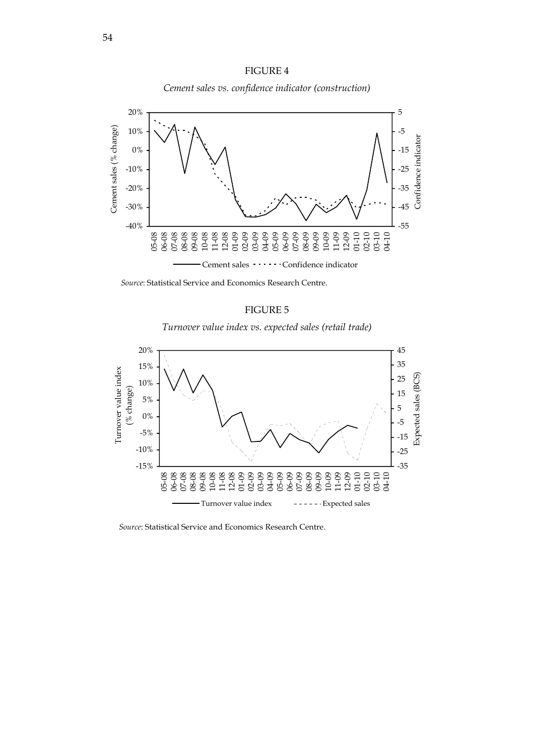



 *Source*: Statistical Service and Economics Research Centre.

# FIGURE 5

*Turnover value index vs. expected sales (retail trade)* 



*Source*: Statistical Service and Economics Research Centre.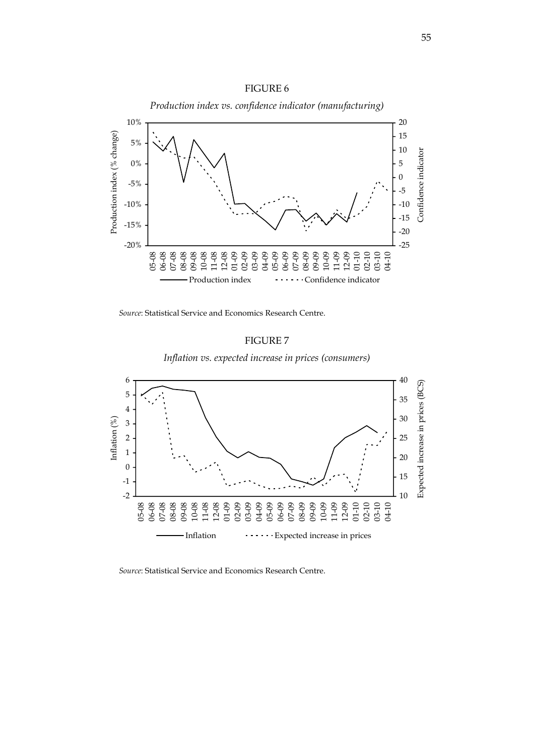

*Source*: Statistical Service and Economics Research Centre.



*Inflation vs. expected increase in prices (consumers)* 



*Source*: Statistical Service and Economics Research Centre.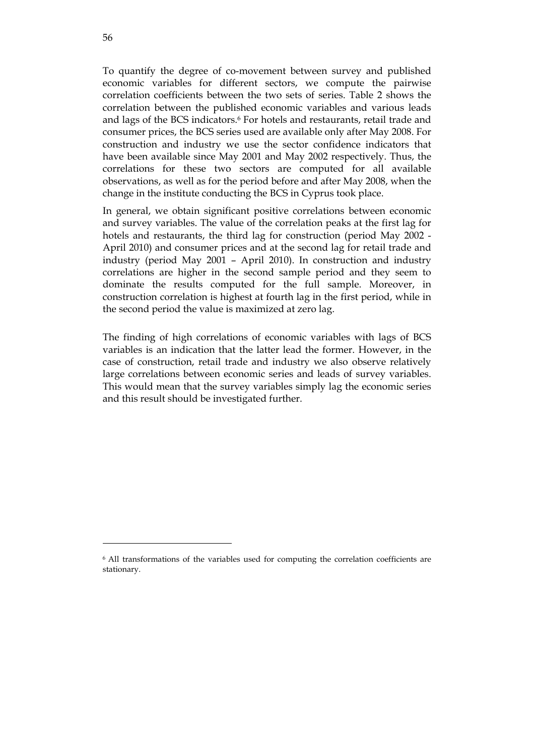To quantify the degree of co-movement between survey and published economic variables for different sectors, we compute the pairwise correlation coefficients between the two sets of series. Table 2 shows the correlation between the published economic variables and various leads and lags of the BCS indicators.6 For hotels and restaurants, retail trade and consumer prices, the BCS series used are available only after May 2008. For construction and industry we use the sector confidence indicators that have been available since May 2001 and May 2002 respectively. Thus, the correlations for these two sectors are computed for all available observations, as well as for the period before and after May 2008, when the change in the institute conducting the BCS in Cyprus took place.

In general, we obtain significant positive correlations between economic and survey variables. The value of the correlation peaks at the first lag for hotels and restaurants, the third lag for construction (period May 2002 - April 2010) and consumer prices and at the second lag for retail trade and industry (period May 2001 – April 2010). In construction and industry correlations are higher in the second sample period and they seem to dominate the results computed for the full sample. Moreover, in construction correlation is highest at fourth lag in the first period, while in the second period the value is maximized at zero lag.

The finding of high correlations of economic variables with lags of BCS variables is an indication that the latter lead the former. However, in the case of construction, retail trade and industry we also observe relatively large correlations between economic series and leads of survey variables. This would mean that the survey variables simply lag the economic series and this result should be investigated further.

 $\overline{a}$ 

<sup>6</sup> All transformations of the variables used for computing the correlation coefficients are stationary.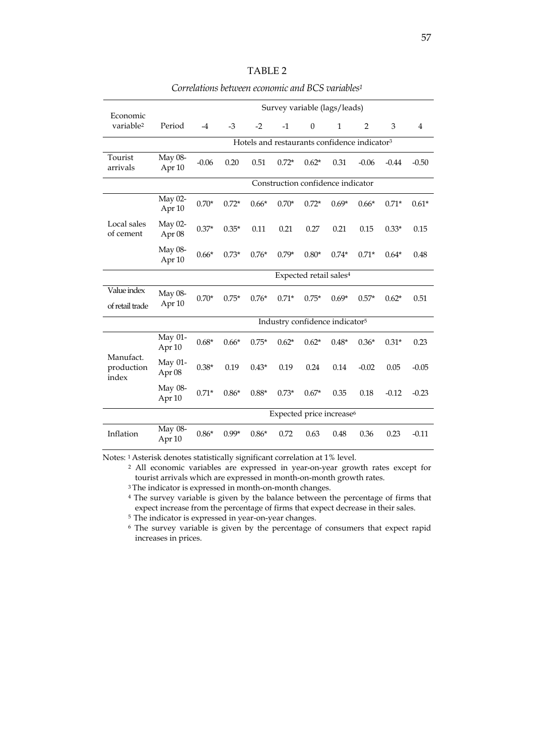*Correlations between economic and BCS variables1* 

| Economic                         |                              | Survey variable (lags/leads)                             |         |         |         |              |              |                |         |                |
|----------------------------------|------------------------------|----------------------------------------------------------|---------|---------|---------|--------------|--------------|----------------|---------|----------------|
| variable <sup>2</sup>            | Period                       | $-4$                                                     | $-3$    | $-2$    | $-1$    | $\mathbf{0}$ | $\mathbf{1}$ | $\overline{2}$ | 3       | $\overline{4}$ |
|                                  |                              | Hotels and restaurants confidence indicator <sup>3</sup> |         |         |         |              |              |                |         |                |
| Tourist<br>arrivals              | May 08-<br>Apr <sub>10</sub> | $-0.06$                                                  | 0.20    | 0.51    | $0.72*$ | $0.62*$      | 0.31         | $-0.06$        | $-0.44$ | $-0.50$        |
|                                  |                              | Construction confidence indicator                        |         |         |         |              |              |                |         |                |
| Local sales<br>of cement         | May 02-<br>Apr <sub>10</sub> | $0.70*$                                                  | $0.72*$ | $0.66*$ | $0.70*$ | $0.72*$      | $0.69*$      | $0.66*$        | $0.71*$ | $0.61*$        |
|                                  | May 02-<br>Apr 08            | $0.37*$                                                  | $0.35*$ | 0.11    | 0.21    | 0.27         | 0.21         | 0.15           | $0.33*$ | 0.15           |
|                                  | May 08-<br>Apr 10            | $0.66*$                                                  | $0.73*$ | $0.76*$ | $0.79*$ | $0.80*$      | $0.74*$      | $0.71*$        | $0.64*$ | 0.48           |
|                                  |                              | Expected retail sales <sup>4</sup>                       |         |         |         |              |              |                |         |                |
| Value index<br>of retail trade   | May 08-<br>Apr 10            | $0.70*$                                                  | $0.75*$ | $0.76*$ | $0.71*$ | $0.75*$      | $0.69*$      | $0.57*$        | $0.62*$ | 0.51           |
|                                  |                              | Industry confidence indicator <sup>5</sup>               |         |         |         |              |              |                |         |                |
| Manufact.<br>production<br>index | May 01-<br>Apr 10            | $0.68*$                                                  | $0.66*$ | $0.75*$ | $0.62*$ | $0.62*$      | $0.48*$      | $0.36*$        | $0.31*$ | 0.23           |
|                                  | May 01-<br>Apr 08            | $0.38*$                                                  | 0.19    | $0.43*$ | 0.19    | 0.24         | 0.14         | $-0.02$        | 0.05    | $-0.05$        |
|                                  | May 08-<br>Apr 10            | $0.71*$                                                  | $0.86*$ | $0.88*$ | $0.73*$ | $0.67*$      | 0.35         | 0.18           | $-0.12$ | $-0.23$        |
|                                  |                              | Expected price increase <sup>6</sup>                     |         |         |         |              |              |                |         |                |
| Inflation                        | May 08-<br>Apr 10            | $0.86*$                                                  | $0.99*$ | $0.86*$ | 0.72    | 0.63         | 0.48         | 0.36           | 0.23    | $-0.11$        |

Notes: 1 Asterisk denotes statistically significant correlation at 1% level.

 2 All economic variables are expressed in year-on-year growth rates except for tourist arrivals which are expressed in month-on-month growth rates.

<sup>3</sup> The indicator is expressed in month-on-month changes.

<sup>4</sup> The survey variable is given by the balance between the percentage of firms that expect increase from the percentage of firms that expect decrease in their sales.

5 The indicator is expressed in year-on-year changes.

 6 The survey variable is given by the percentage of consumers that expect rapid increases in prices.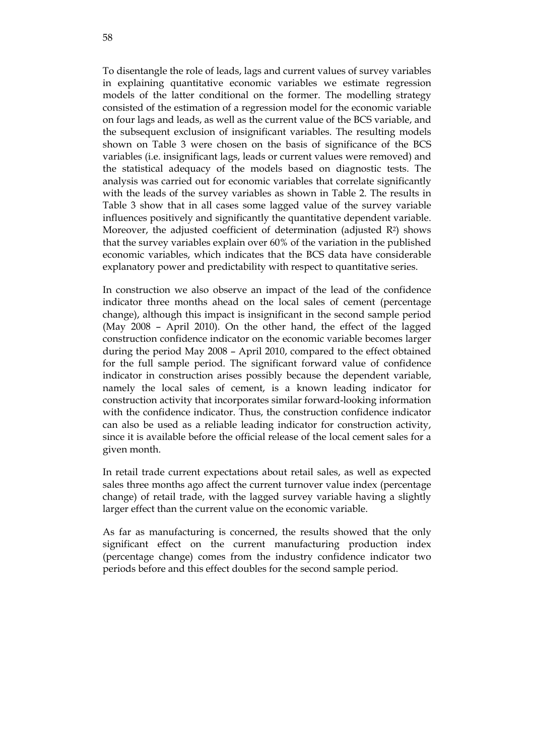To disentangle the role of leads, lags and current values of survey variables in explaining quantitative economic variables we estimate regression models of the latter conditional on the former. The modelling strategy consisted of the estimation of a regression model for the economic variable on four lags and leads, as well as the current value of the BCS variable, and the subsequent exclusion of insignificant variables. The resulting models shown on Table 3 were chosen on the basis of significance of the BCS variables (i.e. insignificant lags, leads or current values were removed) and the statistical adequacy of the models based on diagnostic tests. The analysis was carried out for economic variables that correlate significantly with the leads of the survey variables as shown in Table 2. The results in Table 3 show that in all cases some lagged value of the survey variable influences positively and significantly the quantitative dependent variable. Moreover, the adjusted coefficient of determination (adjusted R2) shows that the survey variables explain over 60% of the variation in the published economic variables, which indicates that the BCS data have considerable explanatory power and predictability with respect to quantitative series.

In construction we also observe an impact of the lead of the confidence indicator three months ahead on the local sales of cement (percentage change), although this impact is insignificant in the second sample period (May 2008 – April 2010). On the other hand, the effect of the lagged construction confidence indicator on the economic variable becomes larger during the period May 2008 – April 2010, compared to the effect obtained for the full sample period. The significant forward value of confidence indicator in construction arises possibly because the dependent variable, namely the local sales of cement, is a known leading indicator for construction activity that incorporates similar forward-looking information with the confidence indicator. Thus, the construction confidence indicator can also be used as a reliable leading indicator for construction activity, since it is available before the official release of the local cement sales for a given month.

In retail trade current expectations about retail sales, as well as expected sales three months ago affect the current turnover value index (percentage change) of retail trade, with the lagged survey variable having a slightly larger effect than the current value on the economic variable.

As far as manufacturing is concerned, the results showed that the only significant effect on the current manufacturing production index (percentage change) comes from the industry confidence indicator two periods before and this effect doubles for the second sample period.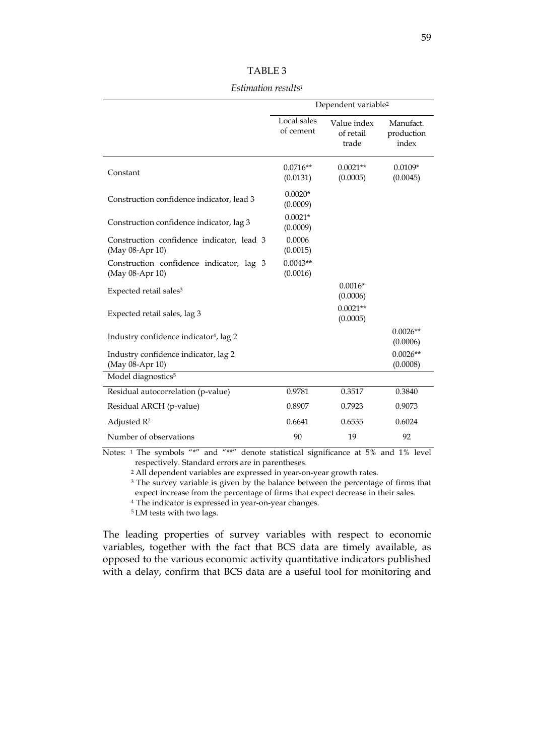| ABLF |  |
|------|--|
|------|--|

*Estimation results1* 

|                                                              | Dependent variable <sup>2</sup> |                                   |                                  |  |
|--------------------------------------------------------------|---------------------------------|-----------------------------------|----------------------------------|--|
|                                                              | Local sales<br>of cement        | Value index<br>of retail<br>trade | Manufact.<br>production<br>index |  |
| Constant                                                     | $0.0716**$<br>(0.0131)          | $0.0021**$<br>(0.0005)            | $0.0109*$<br>(0.0045)            |  |
| Construction confidence indicator, lead 3                    | $0.0020*$<br>(0.0009)           |                                   |                                  |  |
| Construction confidence indicator, lag 3                     | $0.0021*$<br>(0.0009)           |                                   |                                  |  |
| Construction confidence indicator, lead 3<br>(May 08-Apr 10) | 0.0006<br>(0.0015)              |                                   |                                  |  |
| Construction confidence indicator, lag 3<br>(May 08-Apr 10)  | $0.0043**$<br>(0.0016)          |                                   |                                  |  |
| Expected retail sales <sup>3</sup>                           |                                 | $0.0016*$<br>(0.0006)             |                                  |  |
| Expected retail sales, lag 3                                 |                                 | $0.0021**$<br>(0.0005)            |                                  |  |
| Industry confidence indicator <sup>4</sup> , lag 2           |                                 |                                   | $0.0026**$<br>(0.0006)           |  |
| Industry confidence indicator, lag 2<br>(May 08-Apr 10)      |                                 |                                   | $0.0026**$<br>(0.0008)           |  |
| Model diagnostics <sup>5</sup>                               |                                 |                                   |                                  |  |
| Residual autocorrelation (p-value)                           | 0.9781                          | 0.3517                            | 0.3840                           |  |
| Residual ARCH (p-value)                                      | 0.8907                          | 0.7923                            | 0.9073                           |  |
| Adjusted R <sup>2</sup>                                      | 0.6641                          | 0.6535                            | 0.6024                           |  |
| Number of observations                                       | 90                              | 19                                | 92                               |  |

Notes: 1 The symbols "\*" and "\*\*" denote statistical significance at 5% and 1% level respectively. Standard errors are in parentheses.

2 All dependent variables are expressed in year-on-year growth rates.

<sup>3</sup> The survey variable is given by the balance between the percentage of firms that expect increase from the percentage of firms that expect decrease in their sales.

4 The indicator is expressed in year-on-year changes.

5 LM tests with two lags.

The leading properties of survey variables with respect to economic variables, together with the fact that BCS data are timely available, as opposed to the various economic activity quantitative indicators published with a delay, confirm that BCS data are a useful tool for monitoring and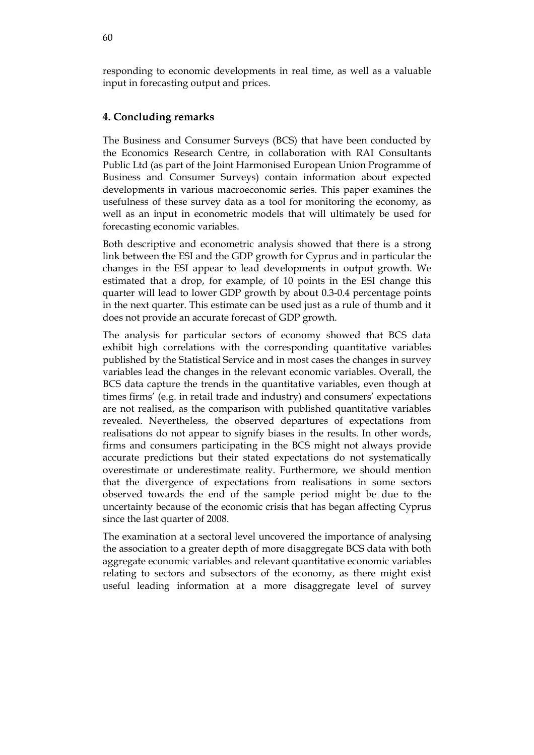responding to economic developments in real time, as well as a valuable input in forecasting output and prices.

# **4. Concluding remarks**

The Business and Consumer Surveys (BCS) that have been conducted by the Economics Research Centre, in collaboration with RAI Consultants Public Ltd (as part of the Joint Harmonised European Union Programme of Business and Consumer Surveys) contain information about expected developments in various macroeconomic series. This paper examines the usefulness of these survey data as a tool for monitoring the economy, as well as an input in econometric models that will ultimately be used for forecasting economic variables.

Both descriptive and econometric analysis showed that there is a strong link between the ESI and the GDP growth for Cyprus and in particular the changes in the ESI appear to lead developments in output growth. We estimated that a drop, for example, of 10 points in the ESI change this quarter will lead to lower GDP growth by about 0.3-0.4 percentage points in the next quarter. This estimate can be used just as a rule of thumb and it does not provide an accurate forecast of GDP growth.

The analysis for particular sectors of economy showed that BCS data exhibit high correlations with the corresponding quantitative variables published by the Statistical Service and in most cases the changes in survey variables lead the changes in the relevant economic variables. Overall, the BCS data capture the trends in the quantitative variables, even though at times firms' (e.g. in retail trade and industry) and consumers' expectations are not realised, as the comparison with published quantitative variables revealed. Nevertheless, the observed departures of expectations from realisations do not appear to signify biases in the results. In other words, firms and consumers participating in the BCS might not always provide accurate predictions but their stated expectations do not systematically overestimate or underestimate reality. Furthermore, we should mention that the divergence of expectations from realisations in some sectors observed towards the end of the sample period might be due to the uncertainty because of the economic crisis that has began affecting Cyprus since the last quarter of 2008.

The examination at a sectoral level uncovered the importance of analysing the association to a greater depth of more disaggregate BCS data with both aggregate economic variables and relevant quantitative economic variables relating to sectors and subsectors of the economy, as there might exist useful leading information at a more disaggregate level of survey